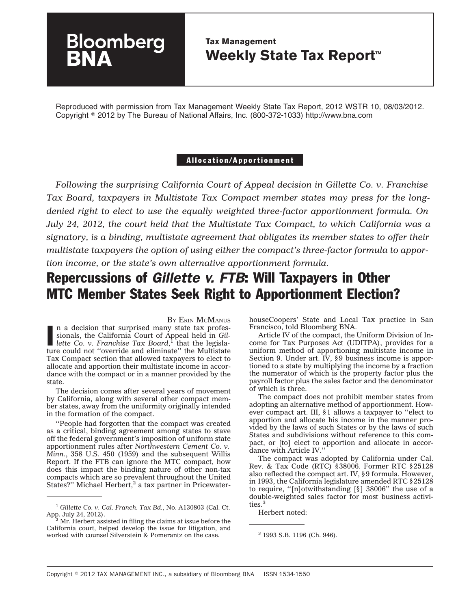## **Tax Management Weekly State Tax Report™**

Reproduced with permission from Tax Management Weekly State Tax Report, 2012 WSTR 10, 08/03/2012. Copyright - 2012 by The Bureau of National Affairs, Inc. (800-372-1033) http://www.bna.com

### Allocation/Apportionment

*Following the surprising California Court of Appeal decision in Gillette Co. v. Franchise Tax Board, taxpayers in Multistate Tax Compact member states may press for the longdenied right to elect to use the equally weighted three-factor apportionment formula. On July 24, 2012, the court held that the Multistate Tax Compact, to which California was a signatory, is a binding, multistate agreement that obligates its member states to offer their multistate taxpayers the option of using either the compact's three-factor formula to apportion income, or the state's own alternative apportionment formula.*

# Repercussions of *Gillette v. FTB*: Will Taxpayers in Other MTC Member States Seek Right to Apportionment Election?

BY ERIN [MCMANUS](mailto:emcmanus@bna.com) **n** a decision that surprised many state tax professionals, the California Court of Appeal held in Gillette Co. v. Franchise Tax Board,<sup>1</sup> that the legislan a decision that surprised many state tax professionals, the California Court of Appeal held in *Gil*ture could not ''override and eliminate'' the Multistate Tax Compact section that allowed taxpayers to elect to allocate and apportion their multistate income in accordance with the compact or in a manner provided by the state.

**Bloomberg** 

The decision comes after several years of movement by California, along with several other compact member states, away from the uniformity originally intended in the formation of the compact.

''People had forgotten that the compact was created as a critical, binding agreement among states to stave off the federal government's imposition of uniform state apportionment rules after *Northwestern Cement Co. v. Minn.*, 358 U.S. 450 (1959) and the subsequent Willis Report. If the FTB can ignore the MTC compact, how does this impact the binding nature of other non-tax compacts which are so prevalent throughout the United States?" Michael Herbert, $2$  a tax partner in PricewaterhouseCoopers' State and Local Tax practice in San Francisco, told Bloomberg BNA.

Article IV of the compact, the Uniform Division of Income for Tax Purposes Act (UDITPA), provides for a uniform method of apportioning multistate income in Section 9. Under art. IV, §9 business income is apportioned to a state by multiplying the income by a fraction the numerator of which is the property factor plus the payroll factor plus the sales factor and the denominator of which is three.

The compact does not prohibit member states from adopting an alternative method of apportionment. However compact art. III, §1 allows a taxpayer to ''elect to apportion and allocate his income in the manner provided by the laws of such States or by the laws of such States and subdivisions without reference to this compact, or [to] elect to apportion and allocate in accordance with Article IV.''

The compact was adopted by California under Cal. Rev. & Tax Code (RTC) §38006. Former RTC §25128 also reflected the compact art. IV, §9 formula. However, in 1993, the California legislature amended RTC §25128 to require, ''[n]otwithstanding [§] 38006'' the use of a double-weighted sales factor for most business activities.<sup>3</sup>

Herbert noted:

<sup>1</sup> *Gillette Co. v. Cal. Franch. Tax Bd.*, No. A130803 (Cal. Ct. App. July 24, 2012).  $\frac{2}{3}$  Mr. Herbert assisted in filing the claims at issue before the

California court, helped develop the issue for litigation, and worked with counsel Silverstein & Pomerantz on the case. <sup>3</sup> 1993 S.B. 1196 (Ch. 946).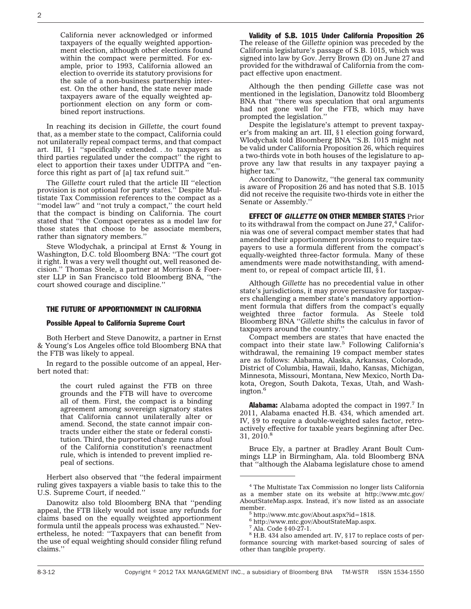California never acknowledged or informed taxpayers of the equally weighted apportionment election, although other elections found within the compact were permitted. For example, prior to 1993, California allowed an election to override its statutory provisions for the sale of a non-business partnership interest. On the other hand, the state never made taxpayers aware of the equally weighted apportionment election on any form or combined report instructions.

In reaching its decision in *Gillette*, the court found that, as a member state to the compact, California could not unilaterally repeal compact terms, and that compact art. III, §1 ''specifically extended. . .to taxpayers as third parties regulated under the compact'' the right to elect to apportion their taxes under UDITPA and ''enforce this right as part of [a] tax refund suit.''

The *Gillette* court ruled that the article III ''election provision is not optional for party states.'' Despite Multistate Tax Commission references to the compact as a "model law" and "not truly a compact," the court held that the compact is binding on California. The court stated that ''the Compact operates as a model law for those states that choose to be associate members, rather than signatory members.''

Steve Wlodychak, a principal at Ernst & Young in Washington, D.C. told Bloomberg BNA: ''The court got it right. It was a very well thought out, well reasoned decision.'' Thomas Steele, a partner at Morrison & Foerster LLP in San Francisco told Bloomberg BNA, ''the court showed courage and discipline.''

### THE FUTURE OF APPORTIONMENT IN CALIFORNIA

#### Possible Appeal to California Supreme Court

Both Herbert and Steve Danowitz, a partner in Ernst & Young's Los Angeles office told Bloomberg BNA that the FTB was likely to appeal.

In regard to the possible outcome of an appeal, Herbert noted that:

> the court ruled against the FTB on three grounds and the FTB will have to overcome all of them. First, the compact is a binding agreement among sovereign signatory states that California cannot unilaterally alter or amend. Second, the state cannot impair contracts under either the state or federal constitution. Third, the purported change runs afoul of the California constitution's reenactment rule, which is intended to prevent implied repeal of sections.

Herbert also observed that ''the federal impairment ruling gives taxpayers a viable basis to take this to the U.S. Supreme Court, if needed.''

Danowitz also told Bloomberg BNA that ''pending appeal, the FTB likely would not issue any refunds for claims based on the equally weighted apportionment formula until the appeals process was exhausted.'' Nevertheless, he noted: ''Taxpayers that can benefit from the use of equal weighting should consider filing refund claims.''

Validity of S.B. 1015 Under California Proposition 26 The release of the *Gillette* opinion was preceded by the California legislature's passage of S.B. 1015, which was signed into law by Gov. Jerry Brown (D) on June 27 and provided for the withdrawal of California from the compact effective upon enactment.

Although the then pending *Gillette* case was not mentioned in the legislation, Danowitz told Bloomberg BNA that ''there was speculation that oral arguments had not gone well for the FTB, which may have prompted the legislation.''

Despite the legislature's attempt to prevent taxpayer's from making an art. III, §1 election going forward, Wlodychak told Bloomberg BNA ''S.B. 1015 might not be valid under California Proposition 26, which requires a two-thirds vote in both houses of the legislature to approve any law that results in any taxpayer paying a higher tax.''

According to Danowitz, ''the general tax community is aware of Proposition 26 and has noted that S.B. 1015 did not receive the requisite two-thirds vote in either the Senate or Assembly.''

EFFECT OF *GILLETTE* ON OTHER MEMBER STATES Prior to its withdrawal from the compact on June  $27<sup>4</sup>$  California was one of several compact member states that had amended their apportionment provisions to require taxpayers to use a formula different from the compact's equally-weighted three-factor formula. Many of these amendments were made notwithstanding, with amendment to, or repeal of compact article III, §1.

Although *Gillette* has no precedential value in other state's jurisdictions, it may prove persuasive for taxpayers challenging a member state's mandatory apportionment formula that differs from the compact's equally weighted three factor formula. As Steele told Bloomberg BNA ''*Gillette* shifts the calculus in favor of taxpayers around the country.''

Compact members are states that have enacted the compact into their state law.<sup>5</sup> Following California's withdrawal, the remaining 19 compact member states are as follows: Alabama, Alaska, Arkansas, Colorado, District of Columbia, Hawaii, Idaho, Kansas, Michigan, Minnesota, Missouri, Montana, New Mexico, North Dakota, Oregon, South Dakota, Texas, Utah, and Washington.<sup>6</sup>

**Alabama:** Alabama adopted the compact in 1997.<sup>7</sup> In 2011, Alabama enacted H.B. 434, which amended art. IV, §9 to require a double-weighted sales factor, retroactively effective for taxable years beginning after Dec. 31, 2010.<sup>8</sup>

Bruce Ely, a partner at Bradley Arant Boult Cummings LLP in Birmingham, Ala. told Bloomberg BNA that ''although the Alabama legislature chose to amend

<sup>8</sup> H.B. 434 also amended art. IV, §17 to replace costs of performance sourcing with market-based sourcing of sales of other than tangible property.

<sup>4</sup> The Multistate Tax Commission no longer lists California as a member state on its website at [http://www.mtc.gov/](http://www.mtc.gov/AboutStateMap.aspx) [AboutStateMap.aspx.](http://www.mtc.gov/AboutStateMap.aspx) Instead, it's now listed as an associate member.<br><sup>5</sup> [http://www.mtc.gov/About.aspx?id=1818.](http://www.mtc.gov/About.aspx?id=1818)

<sup>6</sup> [http://www.mtc.gov/AboutStateMap.aspx.](http://www.mtc.gov/AboutStateMap.aspx)

<sup>7</sup> Ala. Code §40-27-1.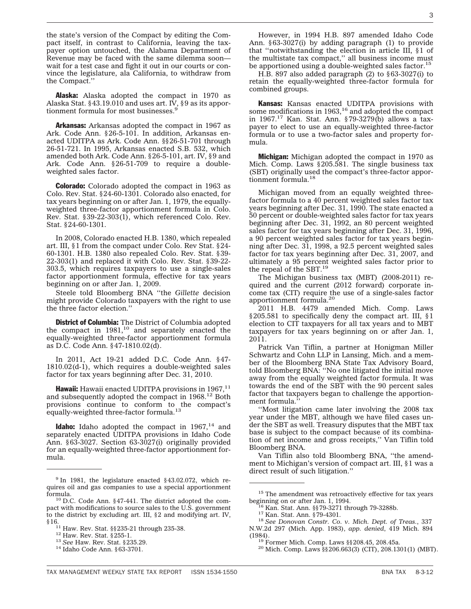the state's version of the Compact by editing the Compact itself, in contrast to California, leaving the taxpayer option untouched, the Alabama Department of Revenue may be faced with the same dilemma soon wait for a test case and fight it out in our courts or convince the legislature, ala California, to withdraw from the Compact.''

Alaska: Alaska adopted the compact in 1970 as Alaska Stat. §43.19.010 and uses art. IV, §9 as its apportionment formula for most businesses.<sup>9</sup>

**Arkansas:** Arkansas adopted the compact in 1967 as Ark. Code Ann. §26-5-101. In addition, Arkansas enacted UDITPA as Ark. Code Ann. §§26-51-701 through 26-51-721. In 1995, Arkansas enacted S.B. 532, which amended both Ark. Code Ann. §26-5-101, art. IV, §9 and Ark. Code Ann. §26-51-709 to require a doubleweighted sales factor.

**Colorado:** Colorado adopted the compact in 1963 as Colo. Rev. Stat. §24-60-1301. Colorado also enacted, for tax years beginning on or after Jan. 1, 1979, the equallyweighted three-factor apportionment formula in Colo. Rev. Stat. §39-22-303(1), which referenced Colo. Rev. Stat. §24-60-1301.

In 2008, Colorado enacted H.B. 1380, which repealed art. III, §1 from the compact under Colo. Rev Stat. §24- 60-1301. H.B. 1380 also repealed Colo. Rev. Stat. §39- 22-303(1) and replaced it with Colo. Rev. Stat. §39-22- 303.5, which requires taxpayers to use a single-sales factor apportionment formula, effective for tax years beginning on or after Jan. 1, 2009.

Steele told Bloomberg BNA ''the *Gillette* decision might provide Colorado taxpayers with the right to use the three factor election.''

**District of Columbia:** The District of Columbia adopted the compact in  $1981<sup>10</sup>$  and separately enacted the equally-weighted three-factor apportionment formula as D.C. Code Ann. §47-1810.02(d).

In 2011, Act 19-21 added D.C. Code Ann. §47- 1810.02(d-1), which requires a double-weighted sales factor for tax years beginning after Dec. 31, 2010.

**Hawaii:** Hawaii enacted UDITPA provisions in  $1967$ ,<sup>11</sup> and subsequently adopted the compact in 1968.<sup>12</sup> Both provisions continue to conform to the compact's equally-weighted three-factor formula.<sup>13</sup>

**Idaho:** Idaho adopted the compact in  $1967$ ,<sup>14</sup> and separately enacted UDITPA provisions in Idaho Code Ann. §63-3027. Section 63-3027(i) originally provided for an equally-weighted three-factor apportionment formula.

However, in 1994 H.B. 897 amended Idaho Code Ann. §63-3027(i) by adding paragraph (1) to provide that ''notwithstanding the election in article III, §1 of the multistate tax compact,'' all business income must be apportioned using a double-weighted sales factor.<sup>15</sup>

H.B. 897 also added paragraph (2) to §63-3027(i) to retain the equally-weighted three-factor formula for combined groups.

Kansas: Kansas enacted UDITPA provisions with some modifications in  $1963$ ,<sup>16</sup> and adopted the compact in 1967.17 Kan. Stat. Ann. §79-3279(b) allows a taxpayer to elect to use an equally-weighted three-factor formula or to use a two-factor sales and property formula.

**Michigan:** Michigan adopted the compact in 1970 as Mich. Comp. Laws §205.581. The single business tax (SBT) originally used the compact's three-factor apportionment formula.18

Michigan moved from an equally weighted threefactor formula to a 40 percent weighted sales factor tax years beginning after Dec. 31, 1990. The state enacted a 50 percent or double-weighted sales factor for tax years beginning after Dec. 31, 1992, an 80 percent weighted sales factor for tax years beginning after Dec. 31, 1996, a 90 percent weighted sales factor for tax years beginning after Dec. 31, 1998, a 92.5 percent weighted sales factor for tax years beginning after Dec. 31, 2007, and ultimately a 95 percent weighted sales factor prior to the repeal of the SBT.<sup>19</sup>

The Michigan business tax (MBT) (2008-2011) required and the current (2012 forward) corporate income tax (CIT) require the use of a single-sales factor apportionment formula.<sup>20</sup>

2011 H.B. 4479 amended Mich. Comp. Laws §205.581 to specifically deny the compact art. III, §1 election to CIT taxpayers for all tax years and to MBT taxpayers for tax years beginning on or after Jan. 1, 2011.

Patrick Van Tiflin, a partner at Honigman Miller Schwartz and Cohn LLP in Lansing, Mich. and a member of the Bloomberg BNA State Tax Advisory Board, told Bloomberg BNA: ''No one litigated the initial move away from the equally weighted factor formula. It was towards the end of the SBT with the 90 percent sales factor that taxpayers began to challenge the apportionment formula.

''Most litigation came later involving the 2008 tax year under the MBT, although we have filed cases under the SBT as well. Treasury disputes that the MBT tax base is subject to the compact because of its combination of net income and gross receipts,'' Van Tiflin told Bloomberg BNA.

Van Tiflin also told Bloomberg BNA, ''the amendment to Michigan's version of compact art. III, §1 was a direct result of such litigation.''

<sup>&</sup>lt;sup>9</sup> In 1981, the legislature enacted §43.02.072, which requires oil and gas companies to use a special apportionment formula. <sup>10</sup> D.C. Code Ann. §47-441. The district adopted the com-

pact with modifications to source sales to the U.S. government to the district by excluding art. III, §2 and modifying art. IV, §16.11 Haw. Rev. Stat. §§235-21 through 235-38. <sup>12</sup> Haw. Rev. Stat. §255-1. <sup>13</sup> *See* Haw. Rev. Stat. §235.29. <sup>14</sup> Idaho Code Ann. §63-3701.

 $^{15}$  The amendment was retroactively effective for tax years beginning on or after Jan. 1, 1994.

beginning on or after Jan. 1, 1994. <sup>16</sup> Kan. Stat. Ann. §§79-3271 through 79-3288b. <sup>17</sup> Kan. Stat. Ann. §79-4301. <sup>18</sup> *See Donovan Constr. Co. v. Mich. Dept. of Treas.*, 337 N.W.2d 297 (Mich. App. 1983), *app. denied*, 419 Mich. 894

<sup>&</sup>lt;sup>197</sup> Former Mich. Comp. Laws §§208.45, 208.45a.<br><sup>20</sup> Mich. Comp. Laws §§206.663(3) (CIT), 208.1301(1) (MBT).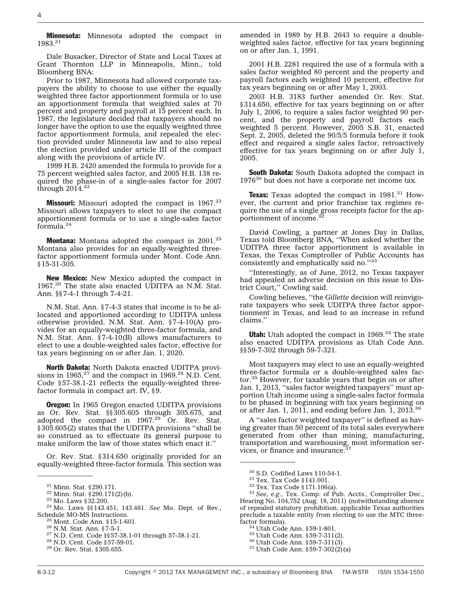**Minnesota:** Minnesota adopted the compact in 1983.21

Dale Busacker, Director of State and Local Taxes at Grant Thornton LLP in Minneapolis, Minn., told Bloomberg BNA:

Prior to 1987, Minnesota had allowed corporate taxpayers the ability to choose to use either the equally weighted three factor apportionment formula or to use an apportionment formula that weighted sales at 70 percent and property and payroll at 15 percent each. In 1987, the legislature decided that taxpayers should no longer have the option to use the equally weighted three factor apportionment formula, and repealed the election provided under Minnesota law and to also repeal the election provided under article III of the compact along with the provisions of article IV.

1999 H.B. 2420 amended the formula to provide for a 75 percent weighted sales factor, and 2005 H.B. 138 required the phase-in of a single-sales factor for 2007 through  $2014.<sup>22</sup>$ 

**Missouri:** Missouri adopted the compact in  $1967.^{23}$ Missouri allows taxpayers to elect to use the compact apportionment formula or to use a single-sales factor formula.24

**Montana:** Montana adopted the compact in 2001.<sup>25</sup> Montana also provides for an equally-weighted threefactor apportionment formula under Mont. Code Ann. §15-31-305.

New Mexico: New Mexico adopted the compact in 1967.26 The state also enacted UDITPA as N.M. Stat. Ann. §§7-4-1 through 7-4-21.

N.M. Stat. Ann. §7-4-3 states that income is to be allocated and apportioned according to UDITPA unless otherwise provided. N.M. Stat. Ann. §7-4-10(A) provides for an equally-weighted three-factor formula, and N.M. Stat. Ann. §7-4-10(B) allows manufacturers to elect to use a double-weighted sales factor, effective for tax years beginning on or after Jan. 1, 2020.

North Dakota: North Dakota enacted UDITPA provisions in  $1965$ ,  $27$  and the compact in  $1969$ .  $28$  N.D. Cent. Code §57-38.1-21 reflects the equally-weighted threefactor formula in compact art. IV, §9.

**Oregon:** In 1965 Oregon enacted UDITPA provisions as Or. Rev. Stat. §§305.605 through 305.675, and adopted the compact in 1967.<sup>29</sup> Or. Rev. Stat. §305.605(2) states that the UDITPA provisions ''shall be so construed as to effectuate its general purpose to make uniform the law of those states which enact it.''

Or. Rev. Stat. §314.650 originally provided for an equally-weighted three-factor formula. This section was

amended in 1989 by H.B. 2643 to require a doubleweighted sales factor, effective for tax years beginning on or after Jan. 1, 1991.

2001 H.B. 2281 required the use of a formula with a sales factor weighted 80 percent and the property and payroll factors each weighted 10 percent, effective for tax years beginning on or after May 1, 2003.

2003 H.B. 3183 further amended Or. Rev. Stat. §314.650, effective for tax years beginning on or after July 1, 2006, to require a sales factor weighted 90 percent, and the property and payroll factors each weighted 5 percent. However, 2005 S.B. 31, enacted Sept. 2, 2005, deleted the 90/5/5 formula before it took effect and required a single sales factor, retroactively effective for tax years beginning on or after July 1, 2005.

**South Dakota:** South Dakota adopted the compact in  $1976^{30}$  but does not have a corporate net income tax.

**Texas:** Texas adopted the compact in  $1981.^{31}$  However, the current and prior franchise tax regimes require the use of a single gross receipts factor for the apportionment of income.<sup>32</sup>

David Cowling, a partner at Jones Day in Dallas, Texas told Bloomberg BNA, ''When asked whether the UDITPA three factor apportionment is available in Texas, the Texas Comptroller of Public Accounts has consistently and emphatically said no."33

''Interestingly, as of June, 2012, no Texas taxpayer had appealed an adverse decision on this issue to District Court,'' Cowling said.

Cowling believes, ''the *Gillette* decision will reinvigorate taxpayers who seek UDITPA three factor apportionment in Texas, and lead to an increase in refund claims.''

**Utah:** Utah adopted the compact in  $1969.^{34}$  The state also enacted UDITPA provisions as Utah Code Ann. §§59-7-302 through 59-7-321.

Most taxpayers may elect to use an equally-weighted three-factor formula or a double-weighted sales factor.<sup>35</sup> However, for taxable years that begin on or after Jan. 1, 2013, "sales factor weighted taxpayers" must apportion Utah income using a single-sales factor formula to be phased in beginning with tax years beginning on or after Jan. 1, 2011, and ending before Jan. 1, 2013.<sup>36</sup>

A ''sales factor weighted taxpayer'' is defined as having greater than 50 percent of its total sales everywhere generated from other than mining, manufacturing, transportation and warehousing, most information services, or finance and insurance.<sup>3</sup>

<sup>30</sup> S.D. Codified Laws §10-54-1. <sup>31</sup> Tex. Tax Code §141.001. <sup>32</sup> Tex. Tax Code §171.106(a). <sup>33</sup> *See, e.g.,* Tex. Comp. of Pub. Accts., Comptroller Dec., Hearing No. 104,752 (Aug. 18, 2011) (notwithstanding absence of repealed statutory prohibition, applicable Texas authorities preclude a taxable entity from electing to use the MTC three-

<sup>&</sup>lt;sup>21</sup> Minn. Stat. §290.171.<br><sup>22</sup> Minn. Stat. §290.171(2)(b).<br><sup>23</sup> Mo. Laws §§143.451, 143.461. *See* Mo. Dept. of Rev.,<br>Schedule MO-MS Instructions.

<sup>&</sup>lt;sup>25</sup> Mont. Code Ann. §15-1-601.<br><sup>26</sup> N.M. Stat. Ann. §7-5-1.<br><sup>27</sup> N.D. Cent. Code §§57-38.1-01 through 57-38.1-21.<br><sup>28</sup> N.D. Cent. Code §57-59-01.<br><sup>29</sup> Or. Rev. Stat. §305.655.

<sup>&</sup>lt;sup>34</sup> Utah Code Ann. §59-1-801.<br><sup>35</sup> Utah Code Ann. §59-7-311(2).<br><sup>36</sup> Utah Code Ann. §59-7-302(2)(a)<br><sup>37</sup> Utah Code Ann. §59-7-302(2)(a)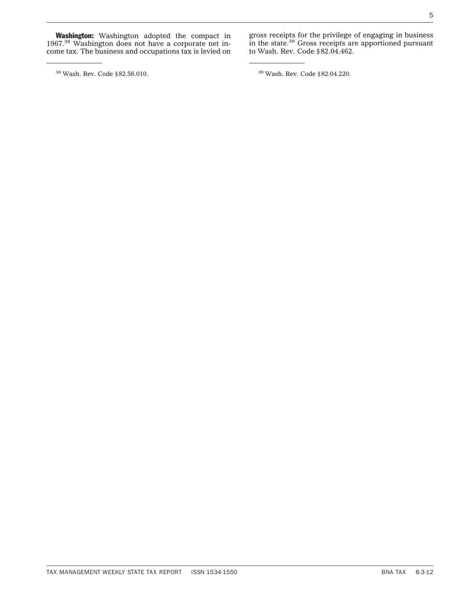**Washington:** Washington adopted the compact in 1967.38 Washington does not have a corporate net income tax. The business and occupations tax is levied on

 $^{38}$  Wash. Rev. Code §82.56.010.  $^{39}$  Wash. Rev. Code §82.04.220.

gross receipts for the privilege of engaging in business in the state.<sup>39</sup> Gross receipts are apportioned pursuant to Wash. Rev. Code §82.04.462.